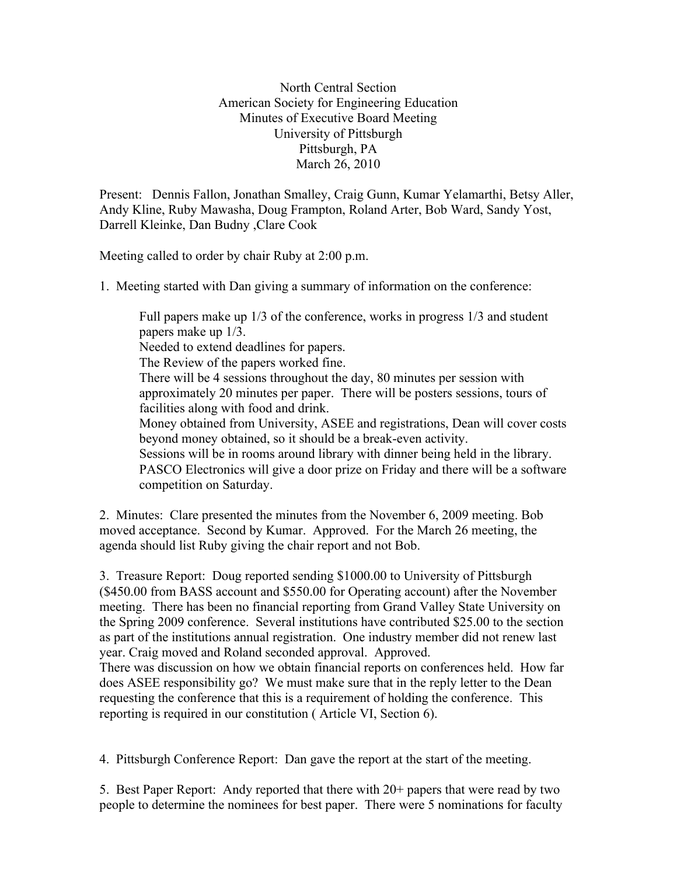North Central Section American Society for Engineering Education Minutes of Executive Board Meeting University of Pittsburgh Pittsburgh, PA March 26, 2010

Present: Dennis Fallon, Jonathan Smalley, Craig Gunn, Kumar Yelamarthi, Betsy Aller, Andy Kline, Ruby Mawasha, Doug Frampton, Roland Arter, Bob Ward, Sandy Yost, Darrell Kleinke, Dan Budny ,Clare Cook

Meeting called to order by chair Ruby at 2:00 p.m.

1. Meeting started with Dan giving a summary of information on the conference:

Full papers make up 1/3 of the conference, works in progress 1/3 and student papers make up 1/3. Needed to extend deadlines for papers. The Review of the papers worked fine. There will be 4 sessions throughout the day, 80 minutes per session with approximately 20 minutes per paper. There will be posters sessions, tours of facilities along with food and drink. Money obtained from University, ASEE and registrations, Dean will cover costs beyond money obtained, so it should be a break-even activity. Sessions will be in rooms around library with dinner being held in the library. PASCO Electronics will give a door prize on Friday and there will be a software competition on Saturday.

2. Minutes: Clare presented the minutes from the November 6, 2009 meeting. Bob moved acceptance. Second by Kumar. Approved. For the March 26 meeting, the agenda should list Ruby giving the chair report and not Bob.

3. Treasure Report: Doug reported sending \$1000.00 to University of Pittsburgh (\$450.00 from BASS account and \$550.00 for Operating account) after the November meeting. There has been no financial reporting from Grand Valley State University on the Spring 2009 conference. Several institutions have contributed \$25.00 to the section as part of the institutions annual registration. One industry member did not renew last year. Craig moved and Roland seconded approval. Approved.

There was discussion on how we obtain financial reports on conferences held. How far does ASEE responsibility go? We must make sure that in the reply letter to the Dean requesting the conference that this is a requirement of holding the conference. This reporting is required in our constitution ( Article VI, Section 6).

4. Pittsburgh Conference Report: Dan gave the report at the start of the meeting.

5. Best Paper Report: Andy reported that there with 20+ papers that were read by two people to determine the nominees for best paper. There were 5 nominations for faculty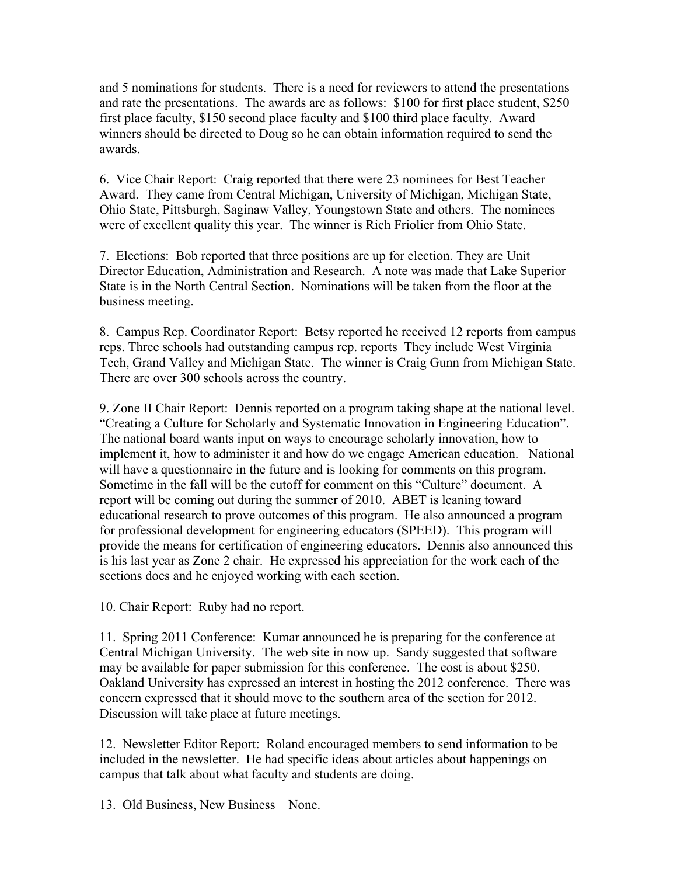and 5 nominations for students. There is a need for reviewers to attend the presentations and rate the presentations. The awards are as follows: \$100 for first place student, \$250 first place faculty, \$150 second place faculty and \$100 third place faculty. Award winners should be directed to Doug so he can obtain information required to send the awards.

6. Vice Chair Report: Craig reported that there were 23 nominees for Best Teacher Award. They came from Central Michigan, University of Michigan, Michigan State, Ohio State, Pittsburgh, Saginaw Valley, Youngstown State and others. The nominees were of excellent quality this year. The winner is Rich Friolier from Ohio State.

7. Elections: Bob reported that three positions are up for election. They are Unit Director Education, Administration and Research. A note was made that Lake Superior State is in the North Central Section. Nominations will be taken from the floor at the business meeting.

8. Campus Rep. Coordinator Report: Betsy reported he received 12 reports from campus reps. Three schools had outstanding campus rep. reports They include West Virginia Tech, Grand Valley and Michigan State. The winner is Craig Gunn from Michigan State. There are over 300 schools across the country.

9. Zone II Chair Report: Dennis reported on a program taking shape at the national level. "Creating a Culture for Scholarly and Systematic Innovation in Engineering Education". The national board wants input on ways to encourage scholarly innovation, how to implement it, how to administer it and how do we engage American education. National will have a questionnaire in the future and is looking for comments on this program. Sometime in the fall will be the cutoff for comment on this "Culture" document. A report will be coming out during the summer of 2010. ABET is leaning toward educational research to prove outcomes of this program. He also announced a program for professional development for engineering educators (SPEED). This program will provide the means for certification of engineering educators. Dennis also announced this is his last year as Zone 2 chair. He expressed his appreciation for the work each of the sections does and he enjoyed working with each section.

10. Chair Report: Ruby had no report.

11. Spring 2011 Conference: Kumar announced he is preparing for the conference at Central Michigan University. The web site in now up. Sandy suggested that software may be available for paper submission for this conference. The cost is about \$250. Oakland University has expressed an interest in hosting the 2012 conference. There was concern expressed that it should move to the southern area of the section for 2012. Discussion will take place at future meetings.

12. Newsletter Editor Report: Roland encouraged members to send information to be included in the newsletter. He had specific ideas about articles about happenings on campus that talk about what faculty and students are doing.

13. Old Business, New Business None.